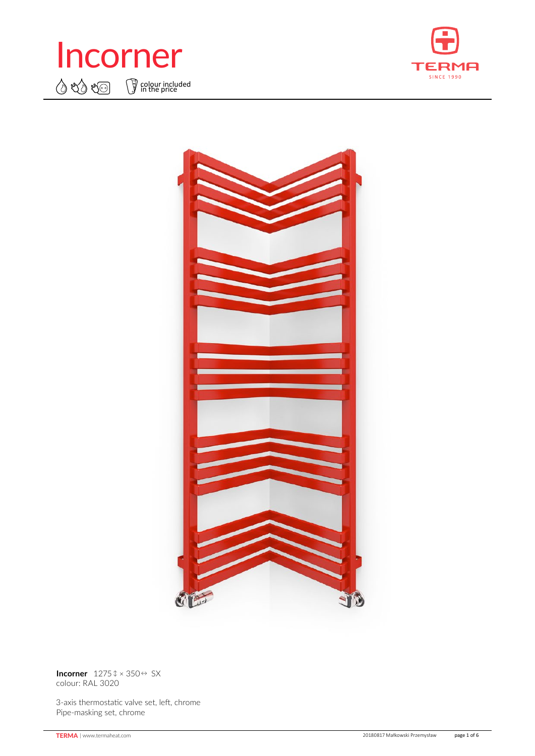





**Incorner** 1275 ↕ × 350 ↔ SX colour: RAL 3020

3-axis thermostatic valve set, left, chrome Pipe-masking set, chrome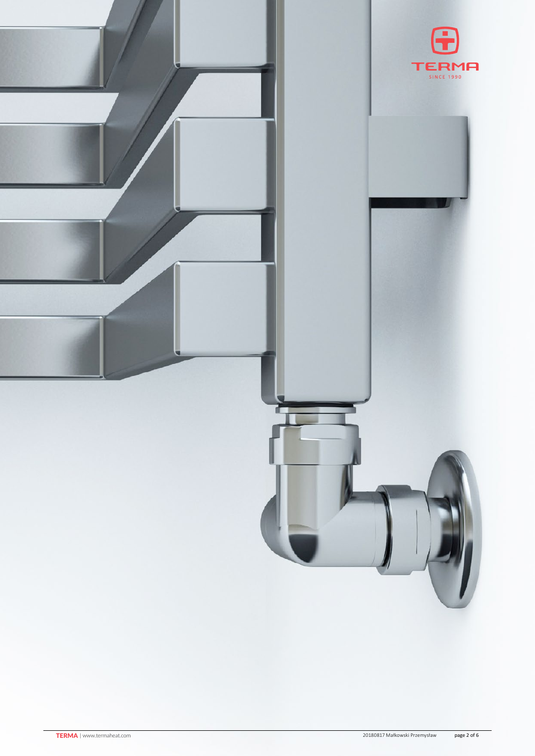![](_page_1_Picture_0.jpeg)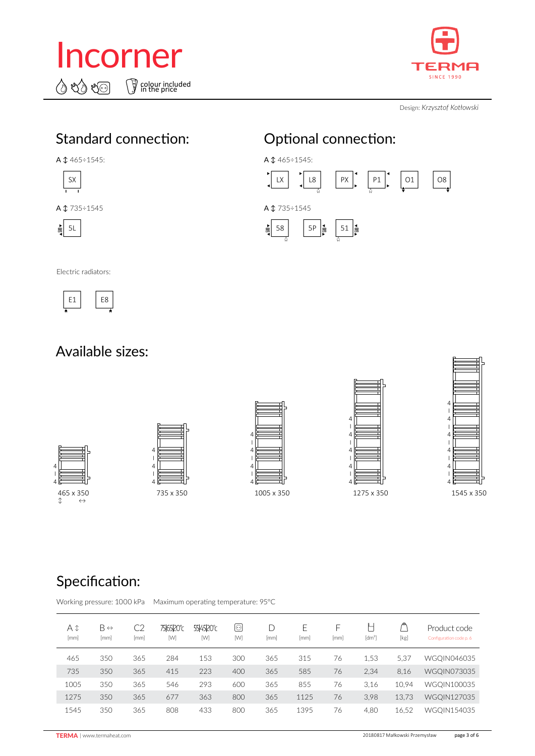![](_page_2_Picture_0.jpeg)

![](_page_2_Picture_1.jpeg)

Design: *Krzysztof Kotłowski*

# Standard connection:

A ↕ 465÷1545:

![](_page_2_Picture_5.jpeg)

A ↕ 735÷1545

![](_page_2_Picture_7.jpeg)

Electric radiators:

![](_page_2_Picture_9.jpeg)

#### Available sizes:

![](_page_2_Figure_11.jpeg)

![](_page_2_Figure_12.jpeg)

![](_page_2_Figure_13.jpeg)

![](_page_2_Figure_14.jpeg)

Optional connection:

 $\begin{bmatrix} LX & LB \\ 0 & 0 \end{bmatrix}$   $\begin{bmatrix} PX \\ 0 \end{bmatrix}$   $\begin{bmatrix} P1 \\ 0 \end{bmatrix}$   $\begin{bmatrix} 01 \\ 0 \end{bmatrix}$   $\begin{bmatrix} 08 \\ 0 \end{bmatrix}$ 

A ↕ 465÷1545:

A ↕ 735÷1545

 $\frac{1}{2}$  58 58 59  $\frac{1}{2}$  59  $\frac{1}{2}$  51  $\frac{1}{2}$ 

![](_page_2_Figure_15.jpeg)

## Specification:

Working pressure: 1000 kPa Maximum operating temperature: 95°C

| Α¢<br>[mm] | $B \leftrightarrow$<br>[mm] | C2<br>[mm] | 75 65 20°c<br><b>M</b> | 554520°C<br><b>M</b> | ☺<br><b>M</b> | [mm] | [mm] | [mm] | $\mathrm{Idm}^3$ | [kg]  | Product code<br>Configuration code p. 6 |
|------------|-----------------------------|------------|------------------------|----------------------|---------------|------|------|------|------------------|-------|-----------------------------------------|
| 465        | 350                         | 365        | 284                    | 153                  | 300           | 365  | 315  | 76   | 1.53             | 5,37  | <b>WGQIN046035</b>                      |
| 735        | 350                         | 365        | 415                    | 223                  | 400           | 365  | 585  | 76   | 2,34             | 8.16  | <b>WGQIN073035</b>                      |
| 1005       | 350                         | 365        | 546                    | 293                  | 600           | 365  | 855  | 76   | 3.16             | 10.94 | WGQIN100035                             |
| 1275       | 350                         | 365        | 677                    | 363                  | 800           | 365  | 1125 | 76   | 3.98             | 13.73 | WGOIN127035                             |
| 1545       | 350                         | 365        | 808                    | 433                  | 800           | 365  | 1395 | 76   | 4,80             | 16,52 | WGQIN154035                             |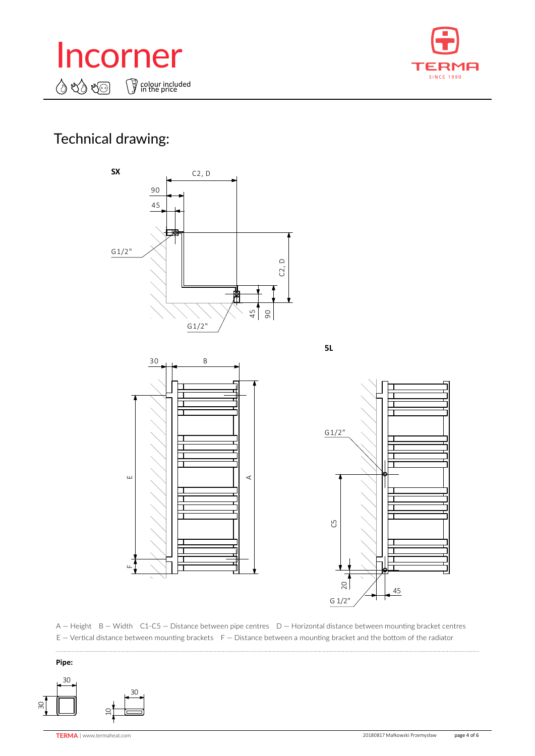![](_page_3_Picture_0.jpeg)

![](_page_3_Picture_1.jpeg)

## Technical drawing:

![](_page_3_Figure_3.jpeg)

A — Height B — Width C1-C5 — Distance between pipe centres D — Horizontal distance between mounting bracket centres 20 45 E - Vertical distance between mounting brackets F - Distance between a mounting bracket and the bottom of the radiator

![](_page_3_Figure_5.jpeg)

![](_page_3_Figure_6.jpeg)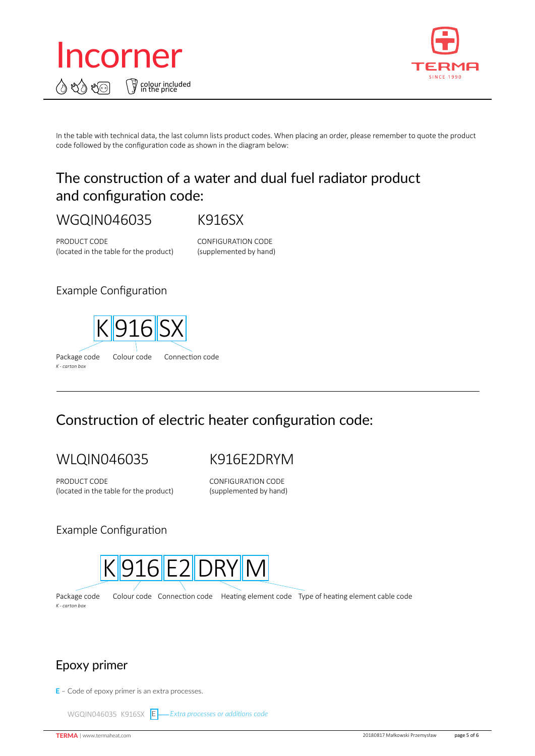![](_page_4_Picture_0.jpeg)

![](_page_4_Picture_1.jpeg)

In the table with technical data, the last column lists product codes. When placing an order, please remember to quote the product code followed by the configuration code as shown in the diagram below:

#### The construction of a water and dual fuel radiator product and configuration code:

WGQIN046035

PRODUCT CODE (located in the table for the product)

CONFIGURATION CODE (supplemented by hand)

K916SX

Example Configuration

![](_page_4_Picture_8.jpeg)

## Construction of electric heater configuration code:

#### WLQIN046035

K916E2DRYM

PRODUCT CODE (located in the table for the product) CONFIGURATION CODE (supplemented by hand)

#### Example Configuration

![](_page_4_Figure_15.jpeg)

Package code *K - carton box* Colour code Connection code Heating element code Type of heating element cable code

#### Epoxy primer

**E** – Code of epoxy primer is an extra processes.

WGQIN046035 K916SX E-*Extra processes or additions code*